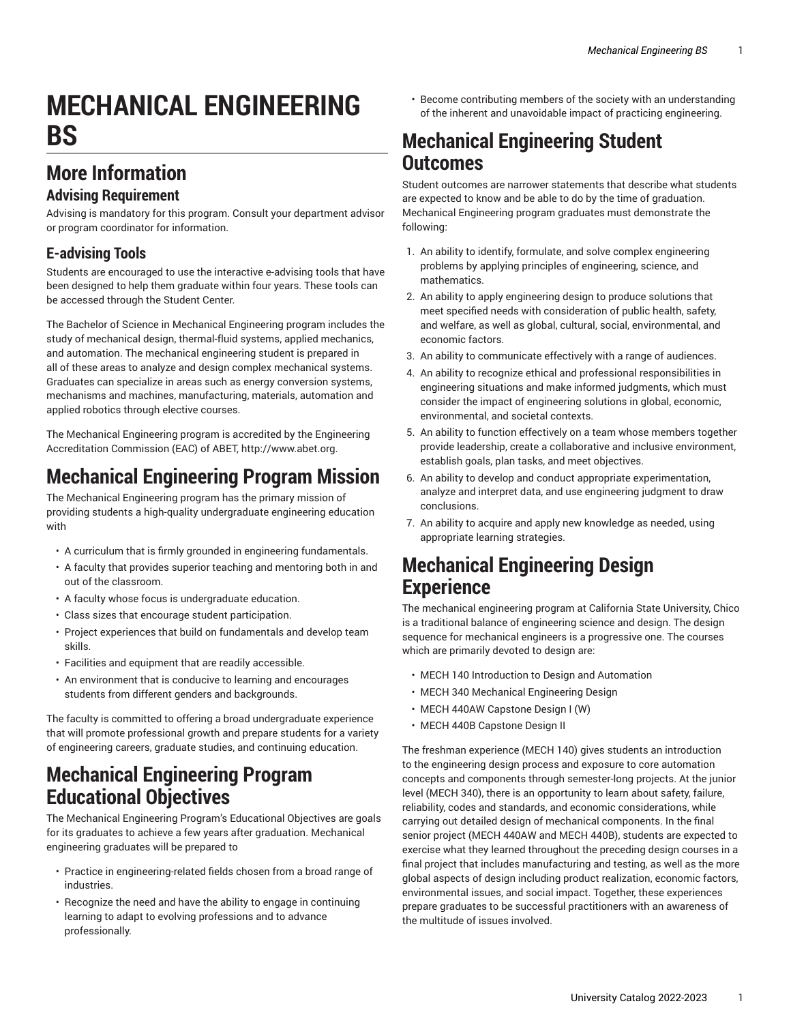# **MECHANICAL ENGINEERING BS**

# **More Information**

#### **Advising Requirement**

Advising is mandatory for this program. Consult your department advisor or program coordinator for information.

#### **E-advising Tools**

Students are encouraged to use the interactive e-advising tools that have been designed to help them graduate within four years. These tools can be accessed through the Student Center.

The Bachelor of Science in Mechanical Engineering program includes the study of mechanical design, thermal-fluid systems, applied mechanics, and automation. The mechanical engineering student is prepared in all of these areas to analyze and design complex mechanical systems. Graduates can specialize in areas such as energy conversion systems, mechanisms and machines, manufacturing, materials, automation and applied robotics through elective courses.

The Mechanical Engineering program is accredited by the Engineering Accreditation Commission (EAC) of ABET, [http://www.abet.org.](http://www.abet.org)

# **Mechanical Engineering Program Mission**

The Mechanical Engineering program has the primary mission of providing students a high-quality undergraduate engineering education with

- A curriculum that is firmly grounded in engineering fundamentals.
- A faculty that provides superior teaching and mentoring both in and out of the classroom.
- A faculty whose focus is undergraduate education.
- Class sizes that encourage student participation.
- Project experiences that build on fundamentals and develop team skills.
- Facilities and equipment that are readily accessible.
- An environment that is conducive to learning and encourages students from different genders and backgrounds.

The faculty is committed to offering a broad undergraduate experience that will promote professional growth and prepare students for a variety of engineering careers, graduate studies, and continuing education.

### **Mechanical Engineering Program Educational Objectives**

The Mechanical Engineering Program's Educational Objectives are goals for its graduates to achieve a few years after graduation. Mechanical engineering graduates will be prepared to

- Practice in engineering-related fields chosen from a broad range of industries.
- Recognize the need and have the ability to engage in continuing learning to adapt to evolving professions and to advance professionally.

• Become contributing members of the society with an understanding of the inherent and unavoidable impact of practicing engineering.

### **Mechanical Engineering Student Outcomes**

Student outcomes are narrower statements that describe what students are expected to know and be able to do by the time of graduation. Mechanical Engineering program graduates must demonstrate the following:

- 1. An ability to identify, formulate, and solve complex engineering problems by applying principles of engineering, science, and mathematics.
- 2. An ability to apply engineering design to produce solutions that meet specified needs with consideration of public health, safety, and welfare, as well as global, cultural, social, environmental, and economic factors.
- 3. An ability to communicate effectively with a range of audiences.
- 4. An ability to recognize ethical and professional responsibilities in engineering situations and make informed judgments, which must consider the impact of engineering solutions in global, economic, environmental, and societal contexts.
- 5. An ability to function effectively on a team whose members together provide leadership, create a collaborative and inclusive environment, establish goals, plan tasks, and meet objectives.
- 6. An ability to develop and conduct appropriate experimentation, analyze and interpret data, and use engineering judgment to draw conclusions.
- 7. An ability to acquire and apply new knowledge as needed, using appropriate learning strategies.

### **Mechanical Engineering Design Experience**

The mechanical engineering program at California State University, Chico is a traditional balance of engineering science and design. The design sequence for mechanical engineers is a progressive one. The courses which are primarily devoted to design are:

- MECH 140 Introduction to Design and Automation
- MECH 340 Mechanical Engineering Design
- MECH 440AW Capstone Design I (W)
- MECH 440B Capstone Design II

The freshman experience (MECH 140) gives students an introduction to the engineering design process and exposure to core automation concepts and components through semester-long projects. At the junior level (MECH 340), there is an opportunity to learn about safety, failure, reliability, codes and standards, and economic considerations, while carrying out detailed design of mechanical components. In the final senior project (MECH 440AW and MECH 440B), students are expected to exercise what they learned throughout the preceding design courses in a final project that includes manufacturing and testing, as well as the more global aspects of design including product realization, economic factors, environmental issues, and social impact. Together, these experiences prepare graduates to be successful practitioners with an awareness of the multitude of issues involved.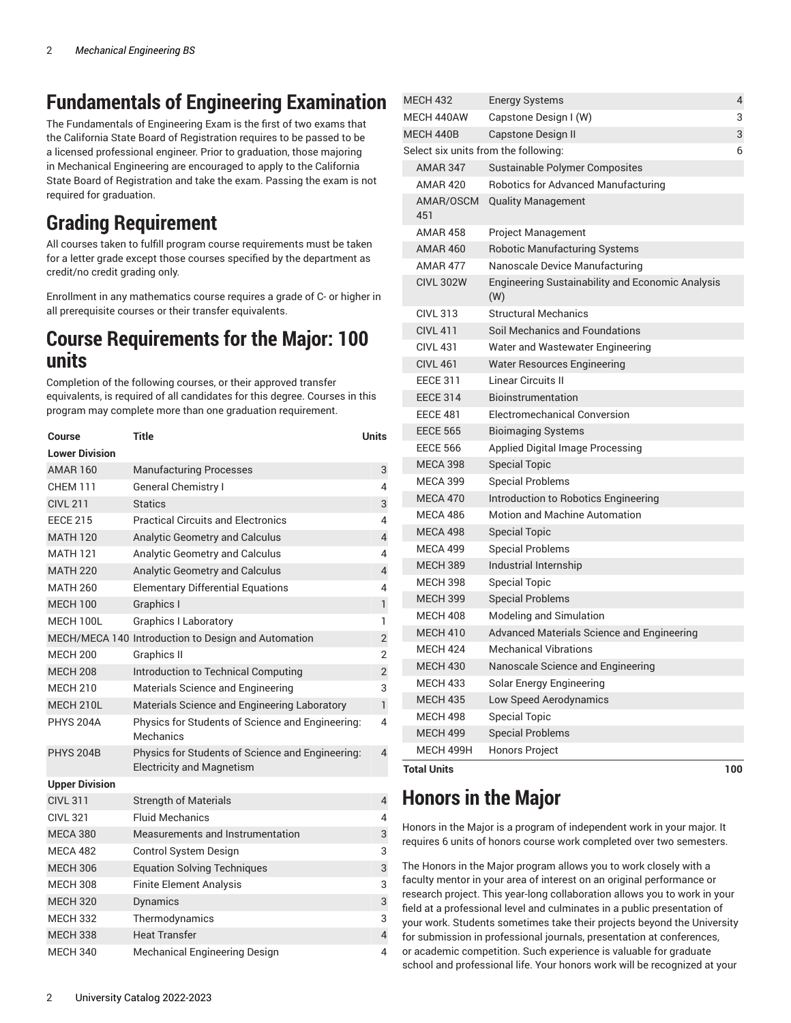# **Fundamentals of Engineering Examination**

The Fundamentals of Engineering Exam is the first of two exams that the California State Board of Registration requires to be passed to be a licensed professional engineer. Prior to graduation, those majoring in Mechanical Engineering are encouraged to apply to the California State Board of Registration and take the exam. Passing the exam is not required for graduation.

# **Grading Requirement**

All courses taken to fulfill program course requirements must be taken for a letter grade except those courses specified by the department as credit/no credit grading only.

Enrollment in any mathematics course requires a grade of C- or higher in all prerequisite courses or their transfer equivalents.

#### **Course Requirements for the Major: 100 units**

Completion of the following courses, or their approved transfer equivalents, is required of all candidates for this degree. Courses in this program may complete more than one graduation requirement.

| <b>Course</b>         | <b>Title</b>                                                                         | <b>Units</b>   |
|-----------------------|--------------------------------------------------------------------------------------|----------------|
| <b>Lower Division</b> |                                                                                      |                |
| <b>AMAR 160</b>       | <b>Manufacturing Processes</b>                                                       | 3              |
| <b>CHEM 111</b>       | <b>General Chemistry I</b>                                                           | 4              |
| <b>CIVL 211</b>       | <b>Statics</b>                                                                       | 3              |
| <b>EECE 215</b>       | <b>Practical Circuits and Electronics</b>                                            | 4              |
| <b>MATH 120</b>       | Analytic Geometry and Calculus                                                       | 4              |
| <b>MATH 121</b>       | Analytic Geometry and Calculus                                                       | 4              |
| <b>MATH 220</b>       | Analytic Geometry and Calculus                                                       | $\overline{4}$ |
| <b>MATH 260</b>       | <b>Elementary Differential Equations</b>                                             | 4              |
| <b>MECH 100</b>       | Graphics I                                                                           | $\mathbf{1}$   |
| MECH 100L             | <b>Graphics I Laboratory</b>                                                         | 1              |
|                       | MECH/MECA 140 Introduction to Design and Automation                                  | $\mathbf{2}$   |
| <b>MECH 200</b>       | <b>Graphics II</b>                                                                   | $\overline{2}$ |
| <b>MECH 208</b>       | Introduction to Technical Computing                                                  | $\overline{2}$ |
| <b>MECH 210</b>       | Materials Science and Engineering                                                    | 3              |
| MECH 210L             | Materials Science and Engineering Laboratory                                         | $\mathbf{1}$   |
| <b>PHYS 204A</b>      | Physics for Students of Science and Engineering:<br>Mechanics                        | 4              |
| <b>PHYS 204B</b>      | Physics for Students of Science and Engineering:<br><b>Electricity and Magnetism</b> | $\overline{4}$ |
| <b>Upper Division</b> |                                                                                      |                |
| <b>CIVL 311</b>       | <b>Strength of Materials</b>                                                         | 4              |
| <b>CIVL 321</b>       | <b>Fluid Mechanics</b>                                                               | 4              |
| <b>MECA 380</b>       | Measurements and Instrumentation                                                     | 3              |
| MECA 482              | Control System Design                                                                | 3              |
| <b>MECH 306</b>       | <b>Equation Solving Techniques</b>                                                   | 3              |
| <b>MECH 308</b>       | <b>Finite Element Analysis</b>                                                       | 3              |
| <b>MECH 320</b>       | Dynamics                                                                             | 3              |
| <b>MECH 332</b>       | Thermodynamics                                                                       | 3              |
| <b>MECH 338</b>       | <b>Heat Transfer</b>                                                                 | $\overline{4}$ |
| <b>MECH 340</b>       | <b>Mechanical Engineering Design</b>                                                 | 4              |

| <b>MECH 432</b>                      | <b>Energy Systems</b>                                   | 4   |
|--------------------------------------|---------------------------------------------------------|-----|
| MFCH 440AW                           | Capstone Design I (W)                                   | 3   |
| MECH 440B                            | <b>Capstone Design II</b>                               | 3   |
| Select six units from the following: |                                                         | 6   |
| <b>AMAR 347</b>                      | Sustainable Polymer Composites                          |     |
| <b>AMAR 420</b>                      | Robotics for Advanced Manufacturing                     |     |
| AMAR/OSCM<br>451                     | <b>Quality Management</b>                               |     |
| <b>AMAR 458</b>                      | <b>Project Management</b>                               |     |
| <b>AMAR 460</b>                      | <b>Robotic Manufacturing Systems</b>                    |     |
| <b>AMAR 477</b>                      | Nanoscale Device Manufacturing                          |     |
| <b>CIVL 302W</b>                     | Engineering Sustainability and Economic Analysis<br>(W) |     |
| <b>CIVL 313</b>                      | <b>Structural Mechanics</b>                             |     |
| <b>CIVL 411</b>                      | Soil Mechanics and Foundations                          |     |
| CIVI 431                             | Water and Wastewater Engineering                        |     |
| <b>CIVL 461</b>                      | <b>Water Resources Engineering</b>                      |     |
| <b>FFCF 311</b>                      | Linear Circuits II                                      |     |
| <b>EECE 314</b>                      | Bioinstrumentation                                      |     |
| <b>EECE 481</b>                      | Electromechanical Conversion                            |     |
| <b>EECE 565</b>                      | <b>Bioimaging Systems</b>                               |     |
| <b>EECE 566</b>                      | Applied Digital Image Processing                        |     |
| <b>MECA 398</b>                      | <b>Special Topic</b>                                    |     |
| <b>MECA 399</b>                      | <b>Special Problems</b>                                 |     |
| MECA 470                             | Introduction to Robotics Engineering                    |     |
| MECA 486                             | <b>Motion and Machine Automation</b>                    |     |
| MECA 498                             | <b>Special Topic</b>                                    |     |
| <b>MECA 499</b>                      | <b>Special Problems</b>                                 |     |
| <b>MECH 389</b>                      | Industrial Internship                                   |     |
| <b>MECH 398</b>                      | <b>Special Topic</b>                                    |     |
| <b>MECH 399</b>                      | <b>Special Problems</b>                                 |     |
| <b>MECH 408</b>                      | Modeling and Simulation                                 |     |
| <b>MECH 410</b>                      | Advanced Materials Science and Engineering              |     |
| <b>MFCH 424</b>                      | <b>Mechanical Vibrations</b>                            |     |
| <b>MECH 430</b>                      | Nanoscale Science and Engineering                       |     |
| MECH 433                             | Solar Energy Engineering                                |     |
| <b>MECH 435</b>                      | Low Speed Aerodynamics                                  |     |
| <b>MECH 498</b>                      | <b>Special Topic</b>                                    |     |
| <b>MECH 499</b>                      | <b>Special Problems</b>                                 |     |
| MECH 499H                            | Honors Project                                          |     |
| <b>Total Units</b>                   |                                                         | 100 |

# **Honors in the Major**

Honors in the Major is a program of independent work in your major. It requires 6 units of honors course work completed over two semesters.

The Honors in the Major program allows you to work closely with a faculty mentor in your area of interest on an original performance or research project. This year-long collaboration allows you to work in your field at a professional level and culminates in a public presentation of your work. Students sometimes take their projects beyond the University for submission in professional journals, presentation at conferences, or academic competition. Such experience is valuable for graduate school and professional life. Your honors work will be recognized at your